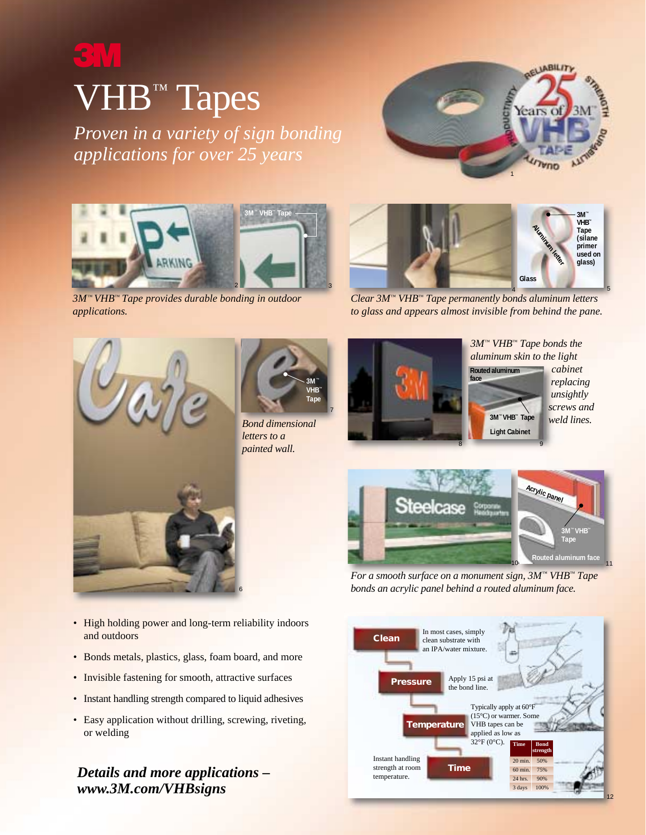# VHB<sup>™</sup> Tapes

*Proven in a variety of sign bonding applications for over 25 years*





*3M™ VHB™ Tape provides durable bonding in outdoor applications.*



*Clear 3M™ VHB™ Tape permanently bonds aluminum letters to glass and appears almost invisible from behind the pane.*





*Bond dimensional letters to a painted wall.*



**Routed aluminum**  *3M™ VHB™ Tape bonds the aluminum skin to the light cabinet*

.

*replacing unsightly screws and weld lines.*



*For a smooth surface on a monument sign, 3M™ VHB™ Tape bonds an acrylic panel behind a routed aluminum face.*



• High holding power and long-term reliability indoors and outdoors

6

- Bonds metals, plastics, glass, foam board, and more
- Invisible fastening for smooth, attractive surfaces
- Instant handling strength compared to liquid adhesives
- Easy application without drilling, screwing, riveting, or welding

*Details and more applications – www.3M.com/VHBsigns*